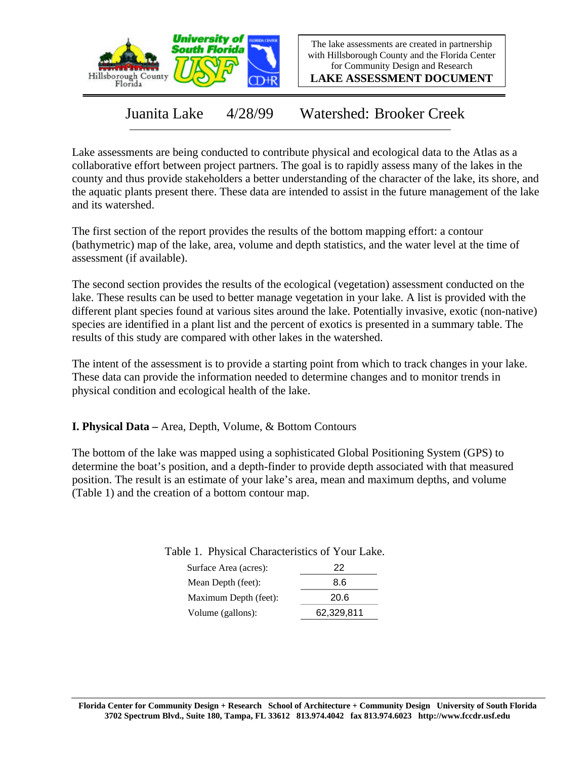

The lake assessments are created in partnership with Hillsborough County and the Florida Center for Community Design and Research

**LAKE ASSESSMENT DOCUMENT**

Juanita Lake 4/28/99 Watershed: Brooker Creek

Lake assessments are being conducted to contribute physical and ecological data to the Atlas as a collaborative effort between project partners. The goal is to rapidly assess many of the lakes in the county and thus provide stakeholders a better understanding of the character of the lake, its shore, and the aquatic plants present there. These data are intended to assist in the future management of the lake and its watershed.

The first section of the report provides the results of the bottom mapping effort: a contour (bathymetric) map of the lake, area, volume and depth statistics, and the water level at the time of assessment (if available).

The second section provides the results of the ecological (vegetation) assessment conducted on the lake. These results can be used to better manage vegetation in your lake. A list is provided with the different plant species found at various sites around the lake. Potentially invasive, exotic (non-native) species are identified in a plant list and the percent of exotics is presented in a summary table. The results of this study are compared with other lakes in the watershed.

The intent of the assessment is to provide a starting point from which to track changes in your lake. These data can provide the information needed to determine changes and to monitor trends in physical condition and ecological health of the lake.

**I. Physical Data –** Area, Depth, Volume, & Bottom Contours

The bottom of the lake was mapped using a sophisticated Global Positioning System (GPS) to determine the boat's position, and a depth-finder to provide depth associated with that measured position. The result is an estimate of your lake's area, mean and maximum depths, and volume (Table 1) and the creation of a bottom contour map.

| Surface Area (acres): | 22   |
|-----------------------|------|
| Mean Depth (feet):    | 8.6  |
| Maximum Depth (feet): | 20.6 |

Table 1. Physical Characteristics of Your Lake.

Volume (gallons): 62,329,811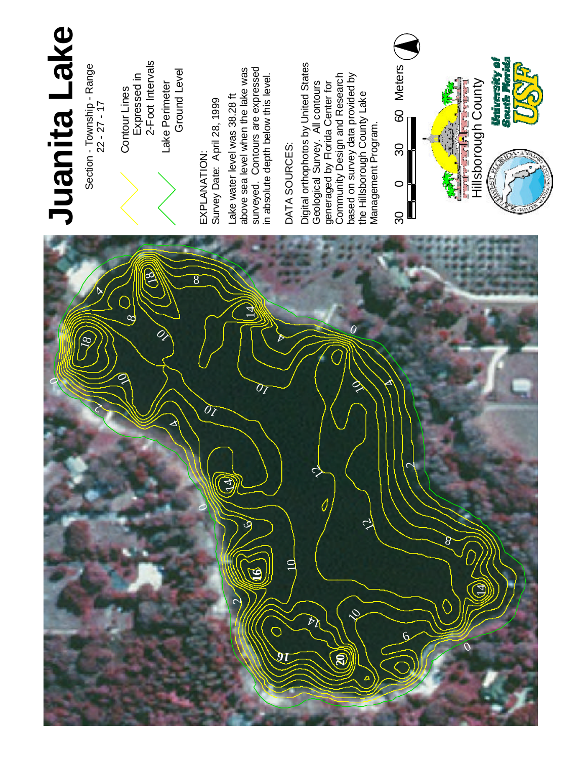

Section - Township - Range  $22 - 27 - 17$ 

E X P L A N ATIO N : S u r v e y Date: April 28, 1999 La k e water level was 3 8 . 2 8 f t a b o v e sea level when the lake w a s s u rv eyed. Contours a r e expressed



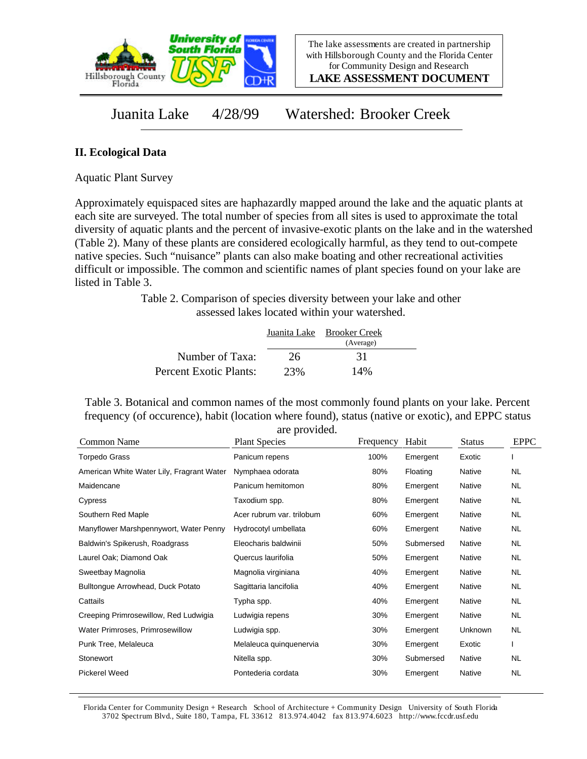

**LAKE ASSESSMENT DOCUMENT**

Juanita Lake 4/28/99 Watershed: Brooker Creek

## **II. Ecological Data**

Aquatic Plant Survey

Approximately equispaced sites are haphazardly mapped around the lake and the aquatic plants at each site are surveyed. The total number of species from all sites is used to approximate the total diversity of aquatic plants and the percent of invasive-exotic plants on the lake and in the watershed (Table 2). Many of these plants are considered ecologically harmful, as they tend to out-compete native species. Such "nuisance" plants can also make boating and other recreational activities difficult or impossible. The common and scientific names of plant species found on your lake are listed in Table 3.

> Table 2. Comparison of species diversity between your lake and other assessed lakes located within your watershed.

|                        |     | Juanita Lake Brooker Creek<br>(Average) |  |
|------------------------|-----|-----------------------------------------|--|
| Number of Taxa:        | 26  | 31                                      |  |
| Percent Exotic Plants: | 23% | 14%                                     |  |

Table 3. Botanical and common names of the most commonly found plants on your lake. Percent frequency (of occurence), habit (location where found), status (native or exotic), and EPPC status are provided.

| $\mathfrak{u}$ . provided.<br><b>Plant Species</b> | Frequency | Habit     | <b>Status</b> | <b>EPPC</b> |
|----------------------------------------------------|-----------|-----------|---------------|-------------|
| Panicum repens                                     | 100%      | Emergent  | Exotic        |             |
| Nymphaea odorata                                   | 80%       | Floating  | Native        | <b>NL</b>   |
| Panicum hemitomon                                  | 80%       | Emergent  | Native        | NL.         |
| Taxodium spp.                                      | 80%       | Emergent  | Native        | NL.         |
| Acer rubrum var. trilobum                          | 60%       | Emergent  | Native        | NL.         |
| Hydrocotyl umbellata                               | 60%       | Emergent  | Native        | <b>NL</b>   |
| Eleocharis baldwinii                               | 50%       | Submersed | Native        | NL.         |
| Quercus laurifolia                                 | 50%       | Emergent  | Native        | NL.         |
| Magnolia virginiana                                | 40%       | Emergent  | Native        | NL.         |
| Sagittaria lancifolia                              | 40%       | Emergent  | Native        | <b>NL</b>   |
| Typha spp.                                         | 40%       | Emergent  | Native        | <b>NL</b>   |
| Ludwigia repens                                    | 30%       | Emergent  | Native        | <b>NL</b>   |
| Ludwigia spp.                                      | 30%       | Emergent  | Unknown       | NL.         |
| Melaleuca quinquenervia                            | 30%       | Emergent  | Exotic        |             |
| Nitella spp.                                       | 30%       | Submersed | Native        | <b>NL</b>   |
| Pontederia cordata                                 | 30%       | Emergent  | Native        | <b>NL</b>   |
|                                                    |           |           |               |             |

Florida Center for Community Design + Research School of Architecture + Community Design University of South Florida 3702 Spectrum Blvd., Suite 180, Tampa, FL 33612 813.974.4042 fax 813.974.6023 http://www.fccdr.usf.edu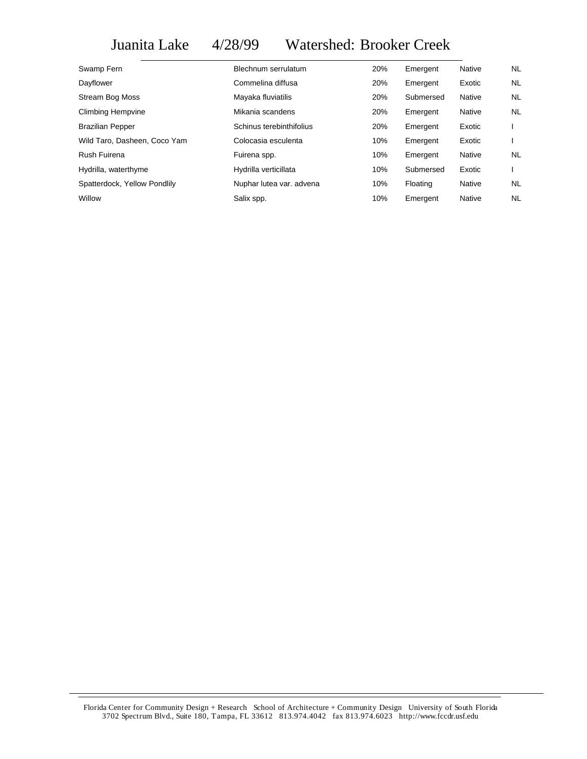# Juanita Lake 4/28/99 Watershed: Brooker Creek

| Swamp Fern                   | Blechnum serrulatum      | 20% | Emergent  | Native | NL.       |
|------------------------------|--------------------------|-----|-----------|--------|-----------|
| Dayflower                    | Commelina diffusa        | 20% | Emergent  | Exotic | NL.       |
| <b>Stream Bog Moss</b>       | Mayaka fluviatilis       | 20% | Submersed | Native | <b>NL</b> |
| Climbing Hempvine            | Mikania scandens         | 20% | Emergent  | Native | <b>NL</b> |
| <b>Brazilian Pepper</b>      | Schinus terebinthifolius | 20% | Emergent  | Exotic |           |
| Wild Taro, Dasheen, Coco Yam | Colocasia esculenta      | 10% | Emergent  | Exotic |           |
| Rush Fuirena                 | Fuirena spp.             | 10% | Emergent  | Native | <b>NL</b> |
| Hydrilla, waterthyme         | Hydrilla verticillata    | 10% | Submersed | Exotic |           |
| Spatterdock, Yellow Pondlily | Nuphar lutea var. advena | 10% | Floating  | Native | NL        |
| Willow                       | Salix spp.               | 10% | Emergent  | Native | NL        |

Florida Center for Community Design + Research School of Architecture + Community Design University of South Florida 3702 Spectrum Blvd., Suite 180, Tampa, FL 33612 813.974.4042 fax 813.974.6023 http://www.fccdr.usf.edu